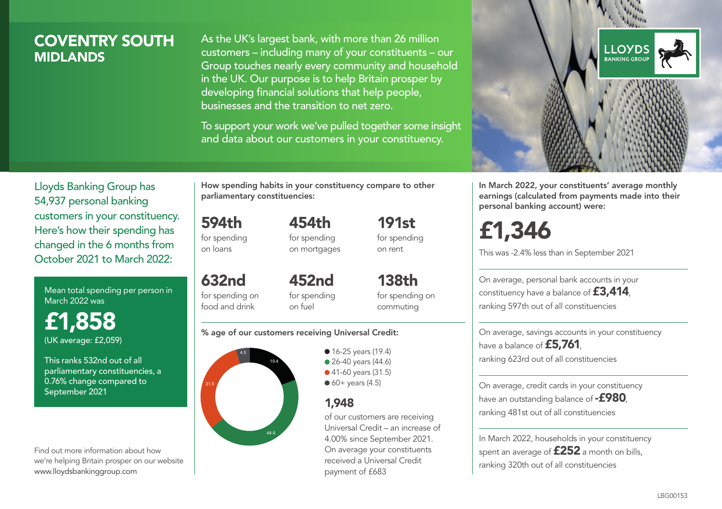# COVENTRY SOUTH **MIDI ANDS**

As the UK's largest bank, with more than 26 million customers – including many of your constituents – our Group touches nearly every community and household in the UK. Our purpose is to help Britain prosper by developing financial solutions that help people, businesses and the transition to net zero.

To support your work we've pulled together some insight and data about our customers in your constituency.



Mean total spending per person in March 2022 was

£1,858 (UK average: £2,059)

This ranks 532nd out of all parliamentary constituencies, a 0.76% change compared to September 2021

Find out more information about how we're helping Britain prosper on our website www.lloydsbankinggroup.com

How spending habits in your constituency compare to other parliamentary constituencies:

454th

594th for spending on loans

632nd

food and drink

for spending on mortgages 191st for spending on rent

for spending on 452nd for spending

138th for spending on commuting

#### % age of our customers receiving Universal Credit:

on fuel



• 16-25 years (19.4) • 26-40 years (44.6)

● 41-60 years (31.5)

 $60+$  years (4.5)

## 1,948

of our customers are receiving Universal Credit – an increase of 4.00% since September 2021. On average your constituents received a Universal Credit payment of £683



In March 2022, your constituents' average monthly earnings (calculated from payments made into their personal banking account) were:

£1,346

This was -2.4% less than in September 2021

On average, personal bank accounts in your constituency have a balance of £3,414, ranking 597th out of all constituencies

On average, savings accounts in your constituency have a balance of £5,761. ranking 623rd out of all constituencies

On average, credit cards in your constituency have an outstanding balance of  $-$ £980, ranking 481st out of all constituencies

In March 2022, households in your constituency spent an average of £252 a month on bills, ranking 320th out of all constituencies